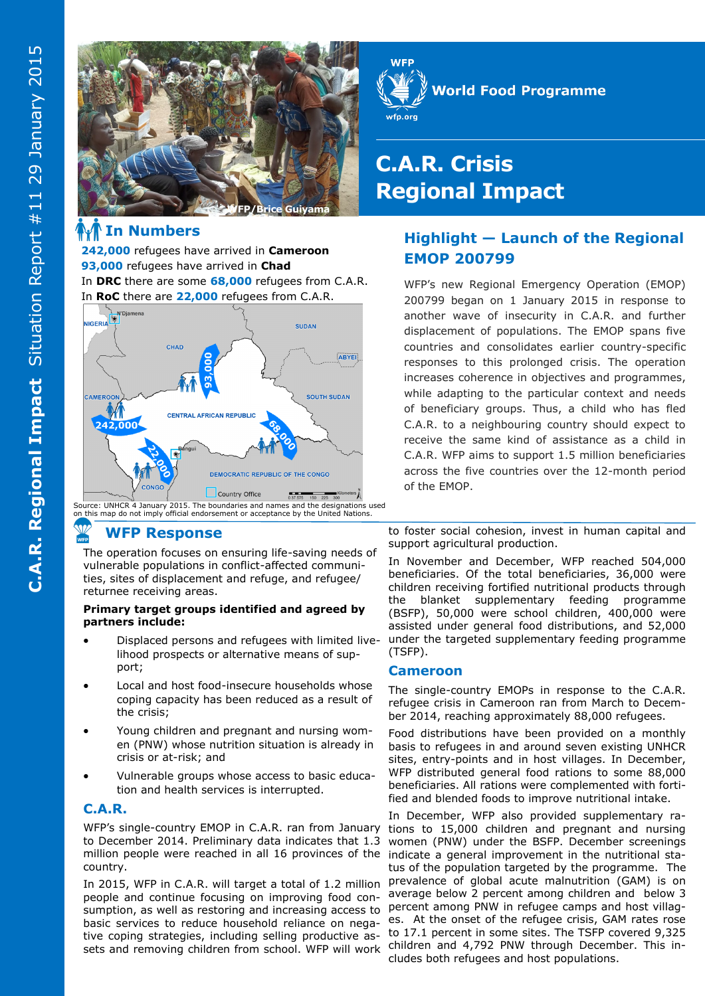

## **In Numbers**

**242,000** refugees have arrived in **Cameroon 93,000** refugees have arrived in **Chad**  In **DRC** there are some **68,000** refugees from C.A.R.



Source: UNHCR 4 January 2015. The boundaries and names and the designations used on this map do not imply official endorsement or acceptance by the United Nations.

## **WFP Response**

The operation focuses on ensuring life-saving needs of vulnerable populations in conflict-affected communities, sites of displacement and refuge, and refugee/ returnee receiving areas.

#### **Primary target groups identified and agreed by partners include:**

- Displaced persons and refugees with limited livelihood prospects or alternative means of support;
- Local and host food-insecure households whose coping capacity has been reduced as a result of the crisis;
- Young children and pregnant and nursing women (PNW) whose nutrition situation is already in crisis or at-risk; and
- Vulnerable groups whose access to basic education and health services is interrupted.

### **C.A.R.**

WFP's single-country EMOP in C.A.R. ran from January to December 2014. Preliminary data indicates that 1.3 million people were reached in all 16 provinces of the indicate a general improvement in the nutritional stacountry.

In 2015, WFP in C.A.R. will target a total of 1.2 million people and continue focusing on improving food consumption, as well as restoring and increasing access to basic services to reduce household reliance on negative coping strategies, including selling productive assets and removing children from school. WFP will work



# **C.A.R. Crisis Regional Impact**

## **Highlight — Launch of the Regional EMOP 200799**

WFP's new Regional Emergency Operation (EMOP) 200799 began on 1 January 2015 in response to another wave of insecurity in C.A.R. and further displacement of populations. The EMOP spans five countries and consolidates earlier country-specific responses to this prolonged crisis. The operation increases coherence in objectives and programmes, while adapting to the particular context and needs of beneficiary groups. Thus, a child who has fled C.A.R. to a neighbouring country should expect to receive the same kind of assistance as a child in C.A.R. WFP aims to support 1.5 million beneficiaries across the five countries over the 12-month period of the EMOP.

to foster social cohesion, invest in human capital and support agricultural production.

In November and December, WFP reached 504,000 beneficiaries. Of the total beneficiaries, 36,000 were children receiving fortified nutritional products through the blanket supplementary feeding programme (BSFP), 50,000 were school children, 400,000 were assisted under general food distributions, and 52,000 under the targeted supplementary feeding programme (TSFP).

### **Cameroon**

The single-country EMOPs in response to the C.A.R. refugee crisis in Cameroon ran from March to December 2014, reaching approximately 88,000 refugees.

Food distributions have been provided on a monthly basis to refugees in and around seven existing UNHCR sites, entry-points and in host villages. In December, WFP distributed general food rations to some 88,000 beneficiaries. All rations were complemented with fortified and blended foods to improve nutritional intake.

In December, WFP also provided supplementary rations to 15,000 children and pregnant and nursing women (PNW) under the BSFP. December screenings tus of the population targeted by the programme. The prevalence of global acute malnutrition (GAM) is on average below 2 percent among children and below 3 percent among PNW in refugee camps and host villages. At the onset of the refugee crisis, GAM rates rose to 17.1 percent in some sites. The TSFP covered 9,325 children and 4,792 PNW through December. This includes both refugees and host populations.